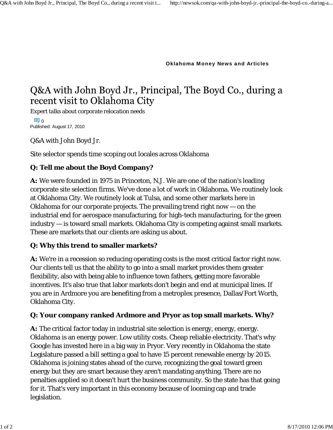**Oklahoma Money News and Articles**

# Q&A with John Boyd Jr., Principal, The Boyd Co., during a recent visit to Oklahoma City

Expert talks about corporate relocation needs

ە ھ Published: August 17, 2010

Q&A with John Boyd Jr.

Site selector spends time scoping out locales across Oklahoma

# **Q: Tell me about the Boyd Company?**

**A:** We were founded in 1975 in Princeton, N.J. We are one of the nation's leading corporate site selection firms. We've done a lot of work in Oklahoma. We routinely look at Oklahoma City. We routinely look at Tulsa, and some other markets here in Oklahoma for our corporate projects. The prevailing trend right now — on the industrial end for aerospace manufacturing, for high-tech manufacturing, for the green industry — is toward small markets. Oklahoma City is competing against small markets. These are markets that our clients are asking us about.

### **Q: Why this trend to smaller markets?**

**A:** We're in a recession so reducing operating costs is the most critical factor right now. Our clients tell us that the ability to go into a small market provides them greater flexibility, also with being able to influence town fathers, getting more favorable incentives. It's also true that labor markets don't begin and end at municipal lines. If you are in Ardmore you are benefiting from a metroplex presence, Dallas/Fort Worth, Oklahoma City.

### **Q: Your company ranked Ardmore and Pryor as top small markets. Why?**

**A:** The critical factor today in industrial site selection is energy, energy, energy. Oklahoma is an energy power. Low utility costs. Cheap reliable electricity. That's why Google has invested here in a big way in Pryor. Very recently in Oklahoma the state Legislature passed a bill setting a goal to have 15 percent renewable energy by 2015. Oklahoma is joining states ahead of the curve, recognizing the goal toward green energy but they are smart because they aren't mandating anything. There are no penalties applied so it doesn't hurt the business community. So the state has that going for it. That's very important in this economy because of looming cap and trade legislation.